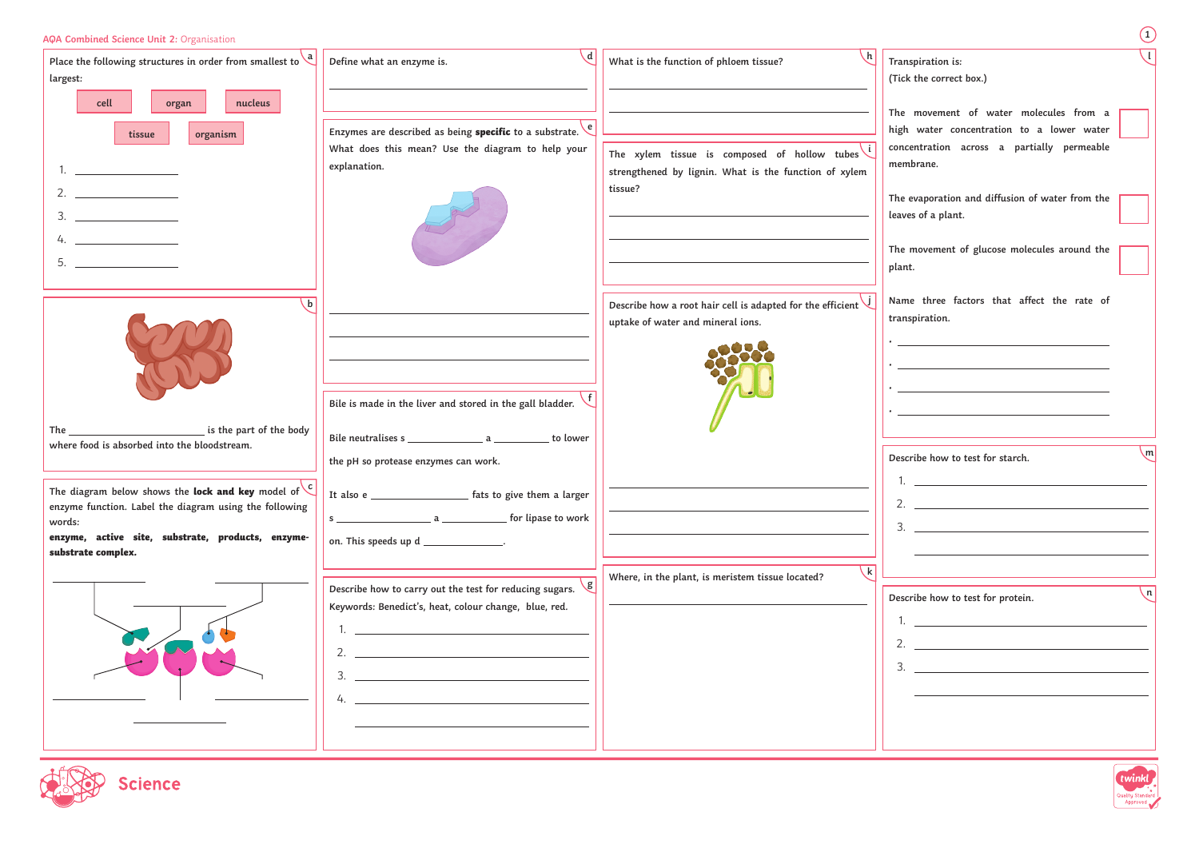| AQA Combined Science Unit 2: Organisation                                                                                                                                                                                                                                                                                                                                                                                                                                                                                                                                                                                                                                                           |                                                                                                                                                                                                                                                                                            |                                                                                                                  | $\left(1\right)$                                                                                                                                                                                                                                                                  |
|-----------------------------------------------------------------------------------------------------------------------------------------------------------------------------------------------------------------------------------------------------------------------------------------------------------------------------------------------------------------------------------------------------------------------------------------------------------------------------------------------------------------------------------------------------------------------------------------------------------------------------------------------------------------------------------------------------|--------------------------------------------------------------------------------------------------------------------------------------------------------------------------------------------------------------------------------------------------------------------------------------------|------------------------------------------------------------------------------------------------------------------|-----------------------------------------------------------------------------------------------------------------------------------------------------------------------------------------------------------------------------------------------------------------------------------|
| Place the following structures in order from smallest to $\frac{a}{b}$<br>largest:                                                                                                                                                                                                                                                                                                                                                                                                                                                                                                                                                                                                                  | \ d<br>Define what an enzyme is.                                                                                                                                                                                                                                                           | What is the function of phloem tissue?                                                                           | Transpiration is:<br>(Tick the correct box.)                                                                                                                                                                                                                                      |
| cell<br>nucleus<br>organ<br>tissue<br>organism<br>2. $\qquad \qquad$<br>$\begin{tabular}{c} 3. & \underline{\hspace{1cm}} & \underline{\hspace{1cm}} & \underline{\hspace{1cm}} & \underline{\hspace{1cm}} & \underline{\hspace{1cm}} & \underline{\hspace{1cm}} & \underline{\hspace{1cm}} & \underline{\hspace{1cm}} & \underline{\hspace{1cm}} & \underline{\hspace{1cm}} & \underline{\hspace{1cm}} & \underline{\hspace{1cm}} & \underline{\hspace{1cm}} & \underline{\hspace{1cm}} & \underline{\hspace{1cm}} & \underline{\hspace{1cm}} & \underline{\hspace{1cm}} & \underline{\hspace{1cm}} & \underline{\hspace{1cm}} & \underline{\hspace{1cm}} & \underline{\hspace{1cm$<br>4. $\qquad$ | Enzymes are described as being specific to a substrate.<br>What does this mean? Use the diagram to help your<br>explanation.                                                                                                                                                               | The xylem tissue is composed of hollow tubes<br>strengthened by lignin. What is the function of xylem<br>tissue? | The movement of water molecules from a<br>high water concentration to a lower water<br>concentration across a partially permeable<br>membrane.<br>The evaporation and diffusion of water from the<br>leaves of a plant.<br>The movement of glucose molecules around the<br>plant. |
| $\mathbf b$                                                                                                                                                                                                                                                                                                                                                                                                                                                                                                                                                                                                                                                                                         | Bile is made in the liver and stored in the gall bladder.                                                                                                                                                                                                                                  | Describe how a root hair cell is adapted for the efficient<br>uptake of water and mineral ions.                  | Name three factors that affect the rate of<br>transpiration.<br><u> 1989 - Johann Barn, amerikansk politiker (d. 1989)</u><br>the control of the control of the control of the control of the control of the control of                                                           |
| is the part of the body<br>The<br>where food is absorbed into the bloodstream.                                                                                                                                                                                                                                                                                                                                                                                                                                                                                                                                                                                                                      | the pH so protease enzymes can work.                                                                                                                                                                                                                                                       |                                                                                                                  | <u> 1980 - Johann Barn, mars ann an t-Amhain Aonaich an t-Aonaich an t-Aonaich ann an t-Aonaich ann an t-Aonaich</u><br>$\mathsf{m}$<br>Describe how to test for starch.                                                                                                          |
| The diagram below shows the lock and key model of $\left\{ \right.$ C<br>enzyme function. Label the diagram using the following<br>words:<br>enzyme, active site, substrate, products, enzyme-<br>substrate complex.                                                                                                                                                                                                                                                                                                                                                                                                                                                                                | It also e ________________________ fats to give them a larger<br>on. This speeds up d _______________.                                                                                                                                                                                     |                                                                                                                  | 2. $\qquad \qquad$                                                                                                                                                                                                                                                                |
|                                                                                                                                                                                                                                                                                                                                                                                                                                                                                                                                                                                                                                                                                                     | $\mathbf{g}$<br>Describe how to carry out the test for reducing sugars.<br>Keywords: Benedict's, heat, colour change, blue, red.<br><u> 1989 - Johann Barbara, martin amerikan basal dan berasal dan berasal dalam basal dalam basal dalam basal dala</u><br>$4.$ $\overline{\phantom{a}}$ | $\left  \mathsf{k} \right $<br>Where, in the plant, is meristem tissue located?                                  | $\lfloor n \rfloor$<br>Describe how to test for protein.<br><u> 1989 - Andrea Stadt, fransk politiker (d. 1989)</u>                                                                                                                                                               |
| <b>science</b>                                                                                                                                                                                                                                                                                                                                                                                                                                                                                                                                                                                                                                                                                      |                                                                                                                                                                                                                                                                                            |                                                                                                                  | twinkl<br>Quality Standard<br>Approved                                                                                                                                                                                                                                            |

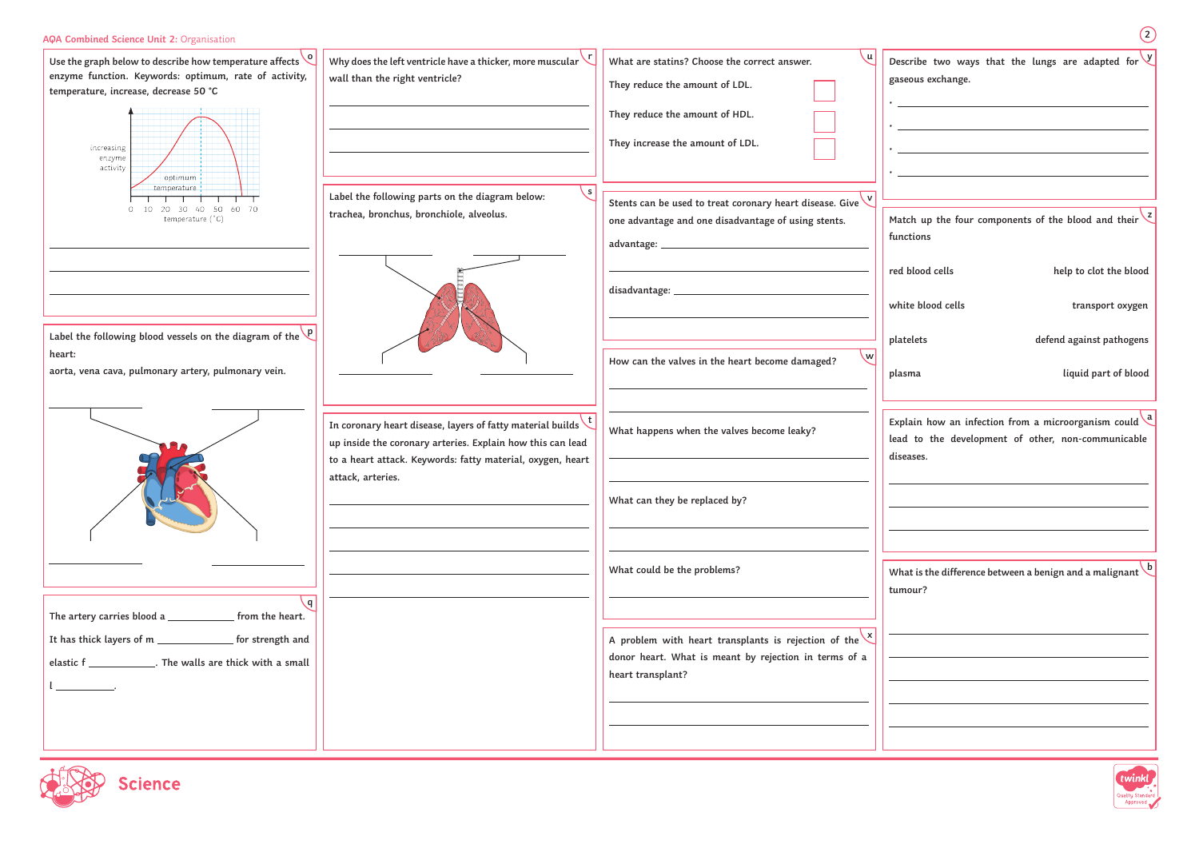

| from the heart.<br>The artery carries blood a               |  |
|-------------------------------------------------------------|--|
| It has thick layers of m ________________ for strength and  |  |
| elastic f _______________. The walls are thick with a small |  |
|                                                             |  |
|                                                             |  |

| AQA Combined Science Unit 2: Organisation                                                                                                                                                    |                                                                                                                                                                                                    |                                                                                                                                                      | (2)                                                                                                                                  |
|----------------------------------------------------------------------------------------------------------------------------------------------------------------------------------------------|----------------------------------------------------------------------------------------------------------------------------------------------------------------------------------------------------|------------------------------------------------------------------------------------------------------------------------------------------------------|--------------------------------------------------------------------------------------------------------------------------------------|
| Use the graph below to describe how temperature affects $\sqrt{\frac{6}{1}}$<br>enzyme function. Keywords: optimum, rate of activity,<br>temperature, increase, decrease 50 °C<br>increasing | Why does the left ventricle have a thicker, more muscular $\vee$<br>wall than the right ventricle?                                                                                                 | What are statins? Choose the correct answer.<br>They reduce the amount of LDL.<br>They reduce the amount of HDL.<br>They increase the amount of LDL. | Describe two ways that the lungs are adapted for $\vee$<br>gaseous exchange.                                                         |
| enzyme<br>activity<br>optimum<br>temperature<br>20 30 40 50 60 70<br>temperature (°C)                                                                                                        | $\mathsf{s}$<br>Label the following parts on the diagram below:<br>trachea, bronchus, bronchiole, alveolus.                                                                                        | Stents can be used to treat coronary heart disease. Give<br>one advantage and one disadvantage of using stents.<br>advantage: __                     | Match up the four components of the blood and their $\frac{2}{3}$<br>functions                                                       |
|                                                                                                                                                                                              |                                                                                                                                                                                                    | disadvantage:                                                                                                                                        | red blood cells<br>help to clot the blood<br>white blood cells<br>transport oxygen                                                   |
| Label the following blood vessels on the diagram of the $\sqrt{P}$<br>heart:<br>aorta, vena cava, pulmonary artery, pulmonary vein.                                                          |                                                                                                                                                                                                    | \w <br>How can the valves in the heart become damaged?                                                                                               | platelets<br>defend against pathogens<br>liquid part of blood<br>plasma                                                              |
|                                                                                                                                                                                              | In coronary heart disease, layers of fatty material builds $\mathbf t$<br>up inside the coronary arteries. Explain how this can lead<br>to a heart attack. Keywords: fatty material, oxygen, heart | What happens when the valves become leaky?                                                                                                           | Explain how an infection from a microorganism could $\frac{a}{b}$<br>lead to the development of other, non-communicable<br>diseases. |
|                                                                                                                                                                                              | attack, arteries.                                                                                                                                                                                  | What can they be replaced by?                                                                                                                        |                                                                                                                                      |
| $\mathsf{q}$                                                                                                                                                                                 |                                                                                                                                                                                                    | What could be the problems?                                                                                                                          | What is the difference between a benign and a malignant $\backslash$<br>tumour?                                                      |
| from the heart.<br>The artery carries blood a _<br>It has thick layers of m __<br>______________ for strength and                                                                            |                                                                                                                                                                                                    | A problem with heart transplants is rejection of the $\frac{1}{x}$                                                                                   |                                                                                                                                      |
| elastic f ______________. The walls are thick with a small                                                                                                                                   |                                                                                                                                                                                                    | donor heart. What is meant by rejection in terms of a<br>heart transplant?                                                                           |                                                                                                                                      |
|                                                                                                                                                                                              |                                                                                                                                                                                                    |                                                                                                                                                      |                                                                                                                                      |
| Science                                                                                                                                                                                      |                                                                                                                                                                                                    |                                                                                                                                                      | twinkl<br>Quality Standard                                                                                                           |

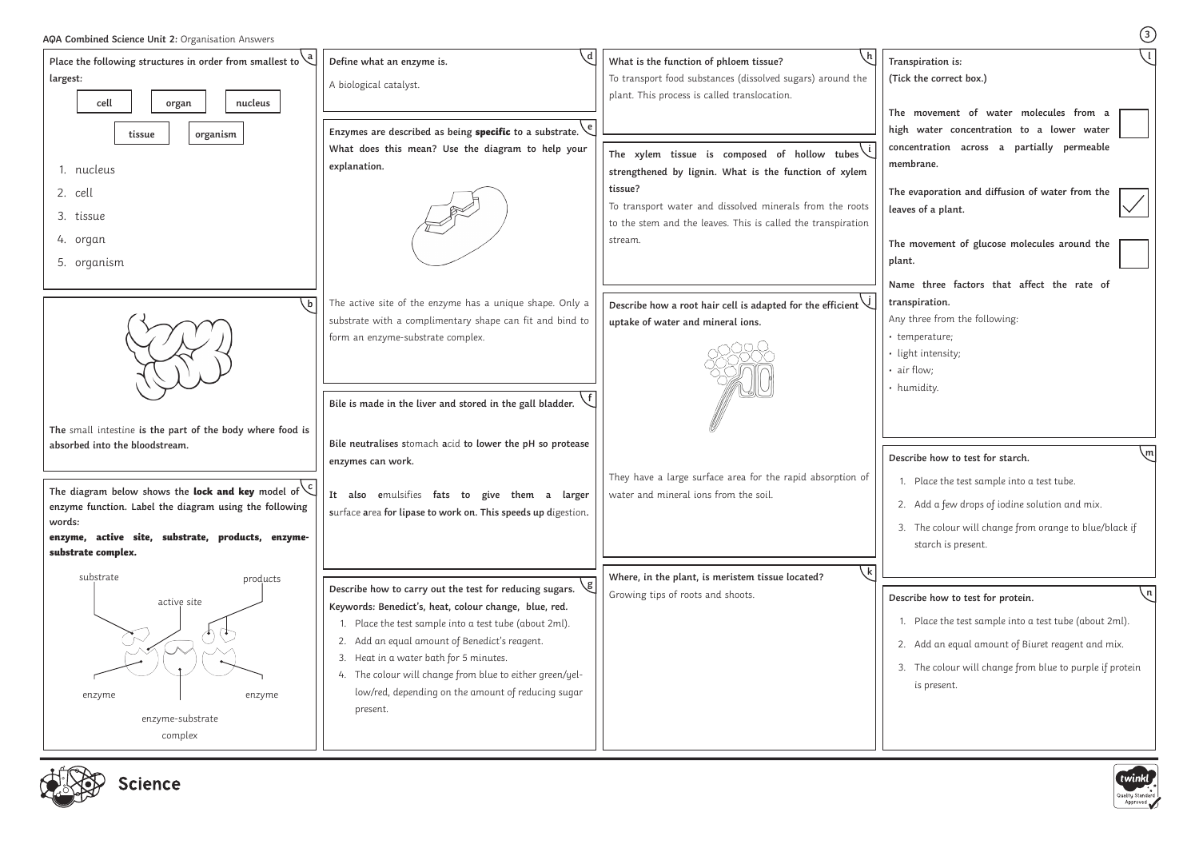| AQA Combined Science Unit 2: Organisation Answers                                                                                                                                                |                                                                                                                                                                                                                                                                                                                                       |                                                                                                                                                      | $\bigcirc$                                                                                                                                                                                                                  |
|--------------------------------------------------------------------------------------------------------------------------------------------------------------------------------------------------|---------------------------------------------------------------------------------------------------------------------------------------------------------------------------------------------------------------------------------------------------------------------------------------------------------------------------------------|------------------------------------------------------------------------------------------------------------------------------------------------------|-----------------------------------------------------------------------------------------------------------------------------------------------------------------------------------------------------------------------------|
| Place the following structures in order from smallest to $\chi^d$<br>largest:<br>cell<br>nucleus<br>organ                                                                                        | Define what an enzyme is.<br>A biological catalyst.                                                                                                                                                                                                                                                                                   | What is the function of phloem tissue?<br>To transport food substances (dissolved sugars) around the<br>plant. This process is called translocation. | Transpiration is:<br>(Tick the correct box.)<br>The movement of water molecules from a                                                                                                                                      |
| organism<br>tissue<br>1. nucleus                                                                                                                                                                 | Enzymes are described as being specific to a substrate.<br>What does this mean? Use the diagram to help your<br>explanation.                                                                                                                                                                                                          | The xylem tissue is composed of hollow tubes<br>strengthened by lignin. What is the function of xylem                                                | high water concentration to a lower water<br>concentration across a partially permeable<br>membrane.                                                                                                                        |
| 2. cell<br>3. tissue<br>4. organ                                                                                                                                                                 |                                                                                                                                                                                                                                                                                                                                       | tissue?<br>To transport water and dissolved minerals from the roots<br>to the stem and the leaves. This is called the transpiration<br>stream.       | The evaporation and diffusion of water from the<br>leaves of a plant.<br>The movement of glucose molecules around the                                                                                                       |
| 5. organism<br>. b l                                                                                                                                                                             | The active site of the enzyme has a unique shape. Only a                                                                                                                                                                                                                                                                              | Describe how a root hair cell is adapted for the efficient $\vee$                                                                                    | plant.<br>Name three factors that affect the rate of<br>transpiration.                                                                                                                                                      |
|                                                                                                                                                                                                  | substrate with a complimentary shape can fit and bind to<br>form an enzyme-substrate complex.                                                                                                                                                                                                                                         | uptake of water and mineral ions.                                                                                                                    | Any three from the following:<br>• temperature;<br>· light intensity;<br>· air flow;<br>• humidity.                                                                                                                         |
| The small intestine is the part of the body where food is                                                                                                                                        | Bile is made in the liver and stored in the gall bladder.                                                                                                                                                                                                                                                                             |                                                                                                                                                      |                                                                                                                                                                                                                             |
| absorbed into the bloodstream.                                                                                                                                                                   | Bile neutralises stomach acid to lower the pH so protease<br>enzymes can work.                                                                                                                                                                                                                                                        | They have a large surface area for the rapid absorption of                                                                                           | Describe how to test for starch.<br>1. Place the test sample into a test tube.                                                                                                                                              |
| The diagram below shows the <b>lock and key</b> model of $\binom{c}{c}$<br>enzyme function. Label the diagram using the following<br>words:<br>enzyme, active site, substrate, products, enzyme- | also emulsifies fats to give them a larger<br>It<br>surface area for lipase to work on. This speeds up digestion.                                                                                                                                                                                                                     | water and mineral ions from the soil.                                                                                                                | 2. Add a few drops of iodine solution and mix.<br>3. The colour will change from orange to blue/black if                                                                                                                    |
| substrate complex.<br>substrate<br>products                                                                                                                                                      | Describe how to carry out the test for reducing sugars.                                                                                                                                                                                                                                                                               | $\mathsf{k}$<br>Where, in the plant, is meristem tissue located?                                                                                     | starch is present.                                                                                                                                                                                                          |
| active site<br>enzyme<br>enzyme<br>enzyme-substrate<br>complex                                                                                                                                   | Keywords: Benedict's, heat, colour change, blue, red.<br>Place the test sample into a test tube (about 2ml).<br>2. Add an equal amount of Benedict's reagent.<br>3. Heat in a water bath for 5 minutes.<br>4. The colour will change from blue to either green/yel-<br>low/red, depending on the amount of reducing sugar<br>present. | Growing tips of roots and shoots.                                                                                                                    | Describe how to test for protein.<br>1. Place the test sample into a test tube (about 2ml).<br>2. Add an equal amount of Biuret reagent and mix.<br>3. The colour will change from blue to purple if protein<br>is present. |